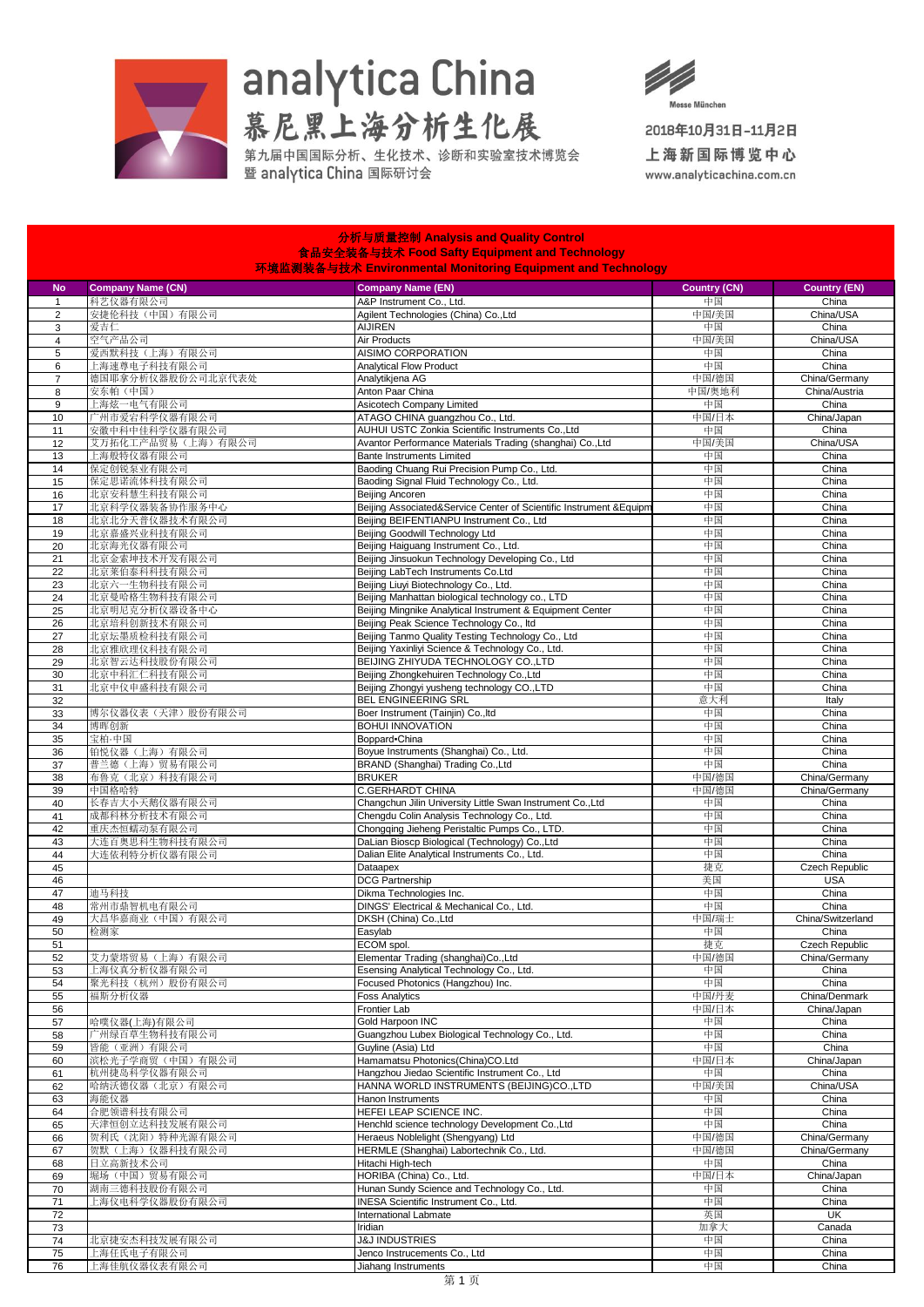

## analytica China<br>慕尼黑上海分析生化展<br>第九届中国属分析、生化技术、诊断和实验室技术博览会



2018年10月31日-11月2日

上海新国际博览中心 www.analyticachina.com.cn

| 食品安全装备与技术 Food Safty Equipment and Technology<br>环境监测装备与技术 Environmental Monitoring Equipment and Technology |                                     |                                                                                                                |                     |                                |  |  |  |
|--------------------------------------------------------------------------------------------------------------|-------------------------------------|----------------------------------------------------------------------------------------------------------------|---------------------|--------------------------------|--|--|--|
| <b>No</b>                                                                                                    | <b>Company Name (CN)</b>            | <b>Company Name (EN)</b>                                                                                       | <b>Country (CN)</b> | <b>Country (EN)</b>            |  |  |  |
| $\mathbf{1}$                                                                                                 | 科艺仪器有限公司                            | A&P Instrument Co., Ltd.<br>Agilent Technologies (China) Co., Ltd                                              | 中国<br>中国/美国         | China<br>China/USA             |  |  |  |
| $\overline{2}$<br>3                                                                                          | 安捷伦科技(中国)有限公司<br>爱吉仁                | <b>AIJIREN</b>                                                                                                 | 中国                  | China                          |  |  |  |
| $\overline{4}$                                                                                               | 空气产品公司                              | Air Products                                                                                                   | 中国/美国               | China/USA                      |  |  |  |
| 5                                                                                                            | 爱西默科技(上海)有限公司                       | AISIMO CORPORATION                                                                                             | 中国                  | China                          |  |  |  |
| 6<br>$\overline{7}$                                                                                          | 上海速尊电子科技有限公司<br>德国耶拿分析仪器股份公司北京代表处   | <b>Analytical Flow Product</b><br>Analytikjena AG                                                              | 中国<br>中国/德国         | China<br>China/Germany         |  |  |  |
| $\bf 8$                                                                                                      | 安东帕(中国)                             | Anton Paar China                                                                                               | 中国/奥地利              | China/Austria                  |  |  |  |
| 9                                                                                                            | 上海炫一电气有限公司                          | Asicotech Company Limited                                                                                      | 中国                  | China                          |  |  |  |
| 10                                                                                                           | 广州市爱宕科学仪器有限公司                       | ATAGO CHINA guangzhou Co., Ltd.                                                                                | 中国/日本               | China/Japan                    |  |  |  |
| 11<br>12                                                                                                     | 安徽中科中佳科学仪器有限公司<br>艾万拓化工产品贸易(上海)有限公司 | AUHUI USTC Zonkia Scientific Instruments Co., Ltd<br>Avantor Performance Materials Trading (shanghai) Co.,Ltd  | 中国<br>中国/美国         | China<br>China/USA             |  |  |  |
| 13                                                                                                           | 上海般特仪器有限公司                          | <b>Bante Instruments Limited</b>                                                                               | 中国                  | China                          |  |  |  |
| 14                                                                                                           | 保定创锐泵业有限公司                          | Baoding Chuang Rui Precision Pump Co., Ltd.                                                                    | 中国                  | China                          |  |  |  |
| 15                                                                                                           | 保定思诺流体科技有限公司                        | Baoding Signal Fluid Technology Co., Ltd.                                                                      | 中国                  | China                          |  |  |  |
| 16                                                                                                           | 北京安科慧生科技有限公司                        | Beijing Ancoren                                                                                                | 中国                  | China                          |  |  |  |
| 17<br>18                                                                                                     | 北京科学仪器装备协作服务中心<br>北京北分天普仪器技术有限公司    | Beijing Associated&Service Center of Scientific Instrument &Equipm<br>Beijing BEIFENTIANPU Instrument Co., Ltd | 中国<br>中国            | China<br>China                 |  |  |  |
| 19                                                                                                           | 北京嘉盛兴业科技有限公司                        | Beijing Goodwill Technology Ltd                                                                                | 中国                  | China                          |  |  |  |
| 20                                                                                                           | 北京海光仪器有限公司                          | Beijing Haiguang Instrument Co., Ltd.                                                                          | 中国                  | China                          |  |  |  |
| 21                                                                                                           | 北京金索坤技术开发有限公司                       | Beijing Jinsuokun Technology Developing Co., Ltd                                                               | 中国                  | China                          |  |  |  |
| 22<br>23                                                                                                     | 北京莱伯泰科科技有限公司<br>北京六一生物科技有限公司        | Beijing LabTech Instruments Co.Ltd<br>Beijing Liuyi Biotechnology Co., Ltd.                                    | 中国<br>中国            | China<br>China                 |  |  |  |
| 24                                                                                                           | 北京曼哈格生物科技有限公司                       | Beijing Manhattan biological technology co., LTD                                                               | 中国                  | China                          |  |  |  |
| 25                                                                                                           | 北京明尼克分析仪器设备中心                       | Beijing Mingnike Analytical Instrument & Equipment Center                                                      | 中国                  | China                          |  |  |  |
| 26                                                                                                           | 北京培科创新技术有限公司                        | Beijing Peak Science Technology Co., Itd                                                                       | 中国                  | China                          |  |  |  |
| 27                                                                                                           | 北京坛墨质检科技有限公司                        | Beijing Tanmo Quality Testing Technology Co., Ltd                                                              | 中国                  | China                          |  |  |  |
| 28<br>29                                                                                                     | 北京雅欣理仪科技有限公司<br>北京智云达科技股份有限公司       | Beijing Yaxinliyi Science & Technology Co., Ltd.<br>BEIJING ZHIYUDA TECHNOLOGY CO., LTD                        | 中国<br>中国            | China<br>China                 |  |  |  |
| 30                                                                                                           | 北京中科汇仁科技有限公司                        | Beijing Zhongkehuiren Technology Co., Ltd                                                                      | 中国                  | China                          |  |  |  |
| 31                                                                                                           | 北京中仪申盛科技有限公司                        | Beijing Zhongyi yusheng technology CO., LTD                                                                    | 中国                  | China                          |  |  |  |
| 32                                                                                                           |                                     | BEL ENGINEERING SRL                                                                                            | 意大利                 | Italy                          |  |  |  |
| 33                                                                                                           | 博尔仪器仪表(天津)股份有限公司                    | Boer Instrument (Tainjin) Co., Itd                                                                             | 中国                  | China                          |  |  |  |
| 34<br>35                                                                                                     | 博晖创新<br>宝柏·中国                       | <b>BOHUI INNOVATION</b><br>Boppard-China                                                                       | 中国<br>中国            | China<br>China                 |  |  |  |
| 36                                                                                                           | 铂悦仪器(上海)有限公司                        | Boyue Instruments (Shanghai) Co., Ltd.                                                                         | 中国                  | China                          |  |  |  |
| 37                                                                                                           | 普兰德(上海)贸易有限公司                       | BRAND (Shanghai) Trading Co., Ltd                                                                              | 中国                  | China                          |  |  |  |
| 38                                                                                                           | 布鲁克(北京)科技有限公司                       | <b>BRUKER</b>                                                                                                  | 中国/德国               | China/Germany                  |  |  |  |
| 39<br>40                                                                                                     | 中国格哈特<br>长春吉大小天鹅仪器有限公司              | C.GERHARDT CHINA<br>Changchun Jilin University Little Swan Instrument Co., Ltd                                 | 中国/德国<br>中国         | China/Germany<br>China         |  |  |  |
| 41                                                                                                           | 成都科林分析技术有限公司                        | Chengdu Colin Analysis Technology Co., Ltd.                                                                    | 中国                  | China                          |  |  |  |
| 42                                                                                                           | 重庆杰恒蠕动泵有限公司                         | Chongqing Jieheng Peristaltic Pumps Co., LTD.                                                                  | 中国                  | China                          |  |  |  |
| 43                                                                                                           | 大连百奥思科生物科技有限公司                      | DaLian Bioscp Biological (Technology) Co., Ltd                                                                 | 中国                  | China                          |  |  |  |
| 44<br>45                                                                                                     | 大连依利特分析仪器有限公司                       | Dalian Elite Analytical Instruments Co., Ltd.<br>Dataapex                                                      | 中国<br>捷克            | China<br><b>Czech Republic</b> |  |  |  |
| 46                                                                                                           |                                     | <b>DCG Partnership</b>                                                                                         | 美国                  | <b>USA</b>                     |  |  |  |
| 47                                                                                                           | 迪马科技                                | Dikma Technologies Inc.                                                                                        | 中国                  | China                          |  |  |  |
| 48                                                                                                           | 常州市鼎智机电有限公司                         | DINGS' Electrical & Mechanical Co., Ltd.                                                                       | 中国                  | China                          |  |  |  |
| 49                                                                                                           | 大昌华嘉商业(中国)有限公司                      | DKSH (China) Co., Ltd                                                                                          | 中国/瑞士               | China/Switzerland              |  |  |  |
| 50<br>51                                                                                                     | 检测家                                 | Easylab<br>ECOM spol.                                                                                          | 中国<br>捷克            | China<br>Czech Republic        |  |  |  |
| 52                                                                                                           | 艾力蒙塔贸易(上海)有限公司                      | Elementar Trading (shanghai)Co.,Ltd                                                                            | 中国/德国               | China/Germany                  |  |  |  |
| 53                                                                                                           | 上海仪真分析仪器有限公司                        | Esensing Analytical Technology Co., Ltd.                                                                       | 中国                  | China                          |  |  |  |
| 54                                                                                                           | 聚光科技(杭州)股份有限公司                      | Focused Photonics (Hangzhou) Inc.                                                                              | 中国                  | China                          |  |  |  |
| 55<br>56                                                                                                     | 福斯分析仪器                              | <b>Foss Analytics</b><br><b>Frontier Lab</b>                                                                   | 中国/丹麦<br>中国/日本      | China/Denmark<br>China/Japan   |  |  |  |
| 57                                                                                                           | 哈噗仪器(上海)有限公司                        | Gold Harpoon INC                                                                                               | 中国                  | China                          |  |  |  |
| 58                                                                                                           | 广州绿百草生物科技有限公司                       | Guangzhou Lubex Biological Technology Co., Ltd.                                                                | 中国                  | China                          |  |  |  |
| 59                                                                                                           | 皆能(亚洲)有限公司                          | Guyline (Asia) Ltd                                                                                             | 中国                  | China                          |  |  |  |
| 60<br>61                                                                                                     | 滨松光子学商贸(中国)有限公司<br>杭州捷岛科学仪器有限公司     | Hamamatsu Photonics(China)CO.Ltd<br>Hangzhou Jiedao Scientific Instrument Co., Ltd                             | 中国/日本<br>中国         | China/Japan<br>China           |  |  |  |
| 62                                                                                                           | 哈纳沃德仪器(北京)有限公司                      | HANNA WORLD INSTRUMENTS (BEIJING)CO.,LTD                                                                       | 中国/美国               | China/USA                      |  |  |  |
| 63                                                                                                           | 海能仪器                                | <b>Hanon Instruments</b>                                                                                       | 中国                  | China                          |  |  |  |
| 64                                                                                                           | 合肥领谱科技有限公司                          | HEFEI LEAP SCIENCE INC.                                                                                        | 中国                  | China                          |  |  |  |
| 65                                                                                                           | 天津恒创立达科技发展有限公司                      | Henchld science technology Development Co., Ltd                                                                | 中国                  | China                          |  |  |  |
| 66<br>67                                                                                                     | 贺利氏(沈阳)特种光源有限公司<br>贺默(上海)仪器科技有限公司   | Heraeus Noblelight (Shengyang) Ltd<br>HERMLE (Shanghai) Labortechnik Co., Ltd.                                 | 中国/德国<br>中国/德国      | China/Germany<br>China/Germany |  |  |  |
| 68                                                                                                           | 日立高新技术公司                            | Hitachi High-tech                                                                                              | 中国                  | China                          |  |  |  |
| 69                                                                                                           | 堀场 (中国) 贸易有限公司                      | HORIBA (China) Co., Ltd.                                                                                       | 中国/日本               | China/Japan                    |  |  |  |
| 70                                                                                                           | 湖南三德科技股份有限公司                        | Hunan Sundy Science and Technology Co., Ltd.                                                                   | 中国                  | China                          |  |  |  |
| 71                                                                                                           | 上海仪电科学仪器股份有限公司                      | INESA Scientific Instrument Co., Ltd.                                                                          | 中国                  | China                          |  |  |  |
| 72<br>73                                                                                                     |                                     | International Labmate<br>Iridian                                                                               | 英国<br>加拿大           | UK<br>Canada                   |  |  |  |
| 74                                                                                                           | 北京捷安杰科技发展有限公司                       | <b>J&amp;J INDUSTRIES</b>                                                                                      | 中国                  | China                          |  |  |  |
| 75                                                                                                           | 上海任氏电子有限公司                          | Jenco Instrucements Co., Ltd                                                                                   | 中国                  | China                          |  |  |  |
| 76                                                                                                           | 上海佳航仪器仪表有限公司                        | Jiahang Instruments                                                                                            | 中国                  | China                          |  |  |  |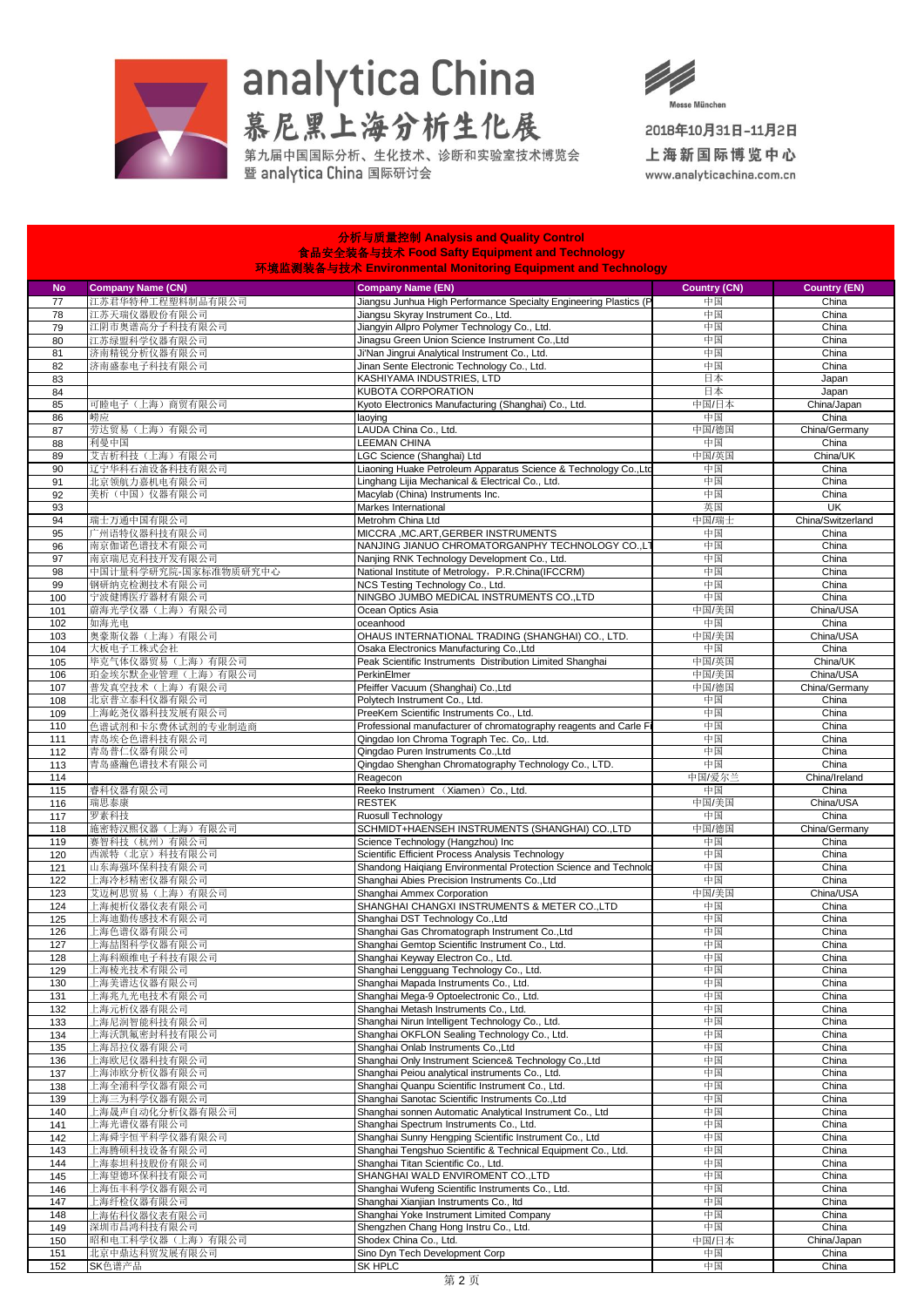

## analytica China<br>慕尼黑上海分析生化展<br>第九届中国属分析、生化技术、诊断和实验室技术博览会

分析与质量控制 Analysis and

 $\Omega$ 



2018年10月31日-11月2日

上海新国际博览中心 www.analyticachina.com.cn

| 食品安全装备与技术 Food Safty Equipment and Technology<br>环境监测装备与技术 Environmental Monitoring Equipment and Technology |                                 |                                                                                                     |                     |                        |  |  |  |
|--------------------------------------------------------------------------------------------------------------|---------------------------------|-----------------------------------------------------------------------------------------------------|---------------------|------------------------|--|--|--|
| <b>No</b>                                                                                                    | <b>Company Name (CN)</b>        | <b>Company Name (EN)</b>                                                                            | <b>Country (CN)</b> | <b>Country (EN)</b>    |  |  |  |
| 77                                                                                                           | 江苏君华特种工程塑料制品有限公司                | Jiangsu Junhua High Performance Specialty Engineering Plastics (P                                   | 中国                  | China                  |  |  |  |
| 78                                                                                                           | 江苏天瑞仪器股份有限公司                    | Jiangsu Skyray Instrument Co., Ltd.                                                                 | 中国                  | China                  |  |  |  |
| 79                                                                                                           | 江阴市奥谱高分子科技有限公司                  | Jiangyin Allpro Polymer Technology Co., Ltd.                                                        | 中国                  | China                  |  |  |  |
| 80                                                                                                           | 江苏绿盟科学仪器有限公司                    | Jinagsu Green Union Science Instrument Co., Ltd                                                     | 中国                  | China                  |  |  |  |
| 81                                                                                                           | 济南精锐分析仪器有限公司                    | Ji'Nan Jingrui Analytical Instrument Co., Ltd.                                                      | 中国                  | China                  |  |  |  |
| 82                                                                                                           | 济南盛泰电子科技有限公司                    | Jinan Sente Electronic Technology Co., Ltd.                                                         | 中国                  | China                  |  |  |  |
| 83                                                                                                           |                                 | KASHIYAMA INDUSTRIES, LTD                                                                           | 日本                  | Japan                  |  |  |  |
| 84                                                                                                           | 可睦电子(上海)商贸有限公司                  | KUBOTA CORPORATION                                                                                  | 日本                  | Japan                  |  |  |  |
| 85<br>86                                                                                                     | 崂应                              | Kyoto Electronics Manufacturing (Shanghai) Co., Ltd.<br>laoying                                     | 中国/日本<br>中国         | China/Japan<br>China   |  |  |  |
| 87                                                                                                           | 劳达贸易(上海)有限公司                    | LAUDA China Co., Ltd.                                                                               | 中国/德国               | China/Germany          |  |  |  |
| 88                                                                                                           | 利曼中国                            | LEEMAN CHINA                                                                                        | 中国                  | China                  |  |  |  |
| 89                                                                                                           | 艾吉析科技(上海)有限公司                   | LGC Science (Shanghai) Ltd                                                                          | 中国/英国               | China/UK               |  |  |  |
| 90                                                                                                           | 辽宁华科石油设备科技有限公司                  | Liaoning Huake Petroleum Apparatus Science & Technology Co.,Ltd                                     | 中国                  | China                  |  |  |  |
| 91                                                                                                           | 北京领航力嘉机电有限公司                    | Linghang Lijia Mechanical & Electrical Co., Ltd.                                                    | 中国                  | China                  |  |  |  |
| 92                                                                                                           | 美析(中国)仪器有限公司                    | Macylab (China) Instruments Inc.                                                                    | 中国                  | China                  |  |  |  |
| 93                                                                                                           |                                 | Markes International                                                                                | 英国                  | UK                     |  |  |  |
| 94                                                                                                           | 瑞士万通中国有限公司                      | Metrohm China Ltd                                                                                   | 中国/瑞士               | China/Switzerland      |  |  |  |
| 95                                                                                                           | 广州语特仪器科技有限公司                    | MICCRA , MC.ART, GERBER INSTRUMENTS<br>NANJING JIANUO CHROMATORGANPHY TECHNOLOGY CO.,L'             | 中国<br>中国            | China<br>China         |  |  |  |
| 96<br>97                                                                                                     | 南京伽诺色谱技术有限公司<br>南京瑞尼克科技开发有限公司   | Nanjing RNK Technology Development Co., Ltd.                                                        | 中国                  | China                  |  |  |  |
| 98                                                                                                           | 中国计量科学研究院-国家标准物质研究中心            | National Institute of Metrology, P.R.China(IFCCRM)                                                  | 中国                  | China                  |  |  |  |
| 99                                                                                                           | 钢研纳克检测技术有限公司                    | NCS Testing Technology Co., Ltd.                                                                    | 中国                  | China                  |  |  |  |
| 100                                                                                                          | 宁波健博医疗器材有限公司                    | NINGBO JUMBO MEDICAL INSTRUMENTS CO.,LTD                                                            | 中国                  | China                  |  |  |  |
| 101                                                                                                          | 蔚海光学仪器(上海)有限公司                  | Ocean Optics Asia                                                                                   | 中国/美国               | China/USA              |  |  |  |
| 102                                                                                                          | 如海光电                            | oceanhood                                                                                           | 中国                  | China                  |  |  |  |
| 103                                                                                                          | 奥豪斯仪器(上海)有限公司                   | OHAUS INTERNATIONAL TRADING (SHANGHAI) CO., LTD.                                                    | 中国/美国               | China/USA              |  |  |  |
| 104                                                                                                          | 大板电子工株式会社                       | Osaka Electronics Manufacturing Co., Ltd                                                            | 中国                  | China                  |  |  |  |
| 105                                                                                                          | 毕克气体仪器贸易(上海)有限公司                | Peak Scientific Instruments Distribution Limited Shanghai                                           | 中国/英国               | China/UK               |  |  |  |
| 106                                                                                                          | 珀金埃尔默企业管理(上海)有限公司               | PerkinElmer                                                                                         | 中国/美国               | China/USA              |  |  |  |
| 107                                                                                                          | 普发真空技术(上海)有限公司<br>北京普立泰科仪器有限公司  | Pfeiffer Vacuum (Shanghai) Co., Ltd<br>Polytech Instrument Co., Ltd.                                | 中国/德国<br>中国         | China/Germany<br>China |  |  |  |
| 108<br>109                                                                                                   | 上海屹尧仪器科技发展有限公司                  | PreeKem Scientific Instruments Co., Ltd.                                                            | 中国                  | China                  |  |  |  |
| 110                                                                                                          | 色谱试剂和卡尔费休试剂的专业制造商               | Professional manufacturer of chromatography reagents and Carle Fi                                   | 中国                  | China                  |  |  |  |
| 111                                                                                                          | 青岛埃仑色谱科技有限公司                    | Qingdao Ion Chroma Tograph Tec. Co,. Ltd.                                                           | 中国                  | China                  |  |  |  |
| 112                                                                                                          | 青岛普仁仪器有限公司                      | Qingdao Puren Instruments Co., Ltd                                                                  | 中国                  | China                  |  |  |  |
| 113                                                                                                          | 青岛盛瀚色谱技术有限公司                    | Qingdao Shenghan Chromatography Technology Co., LTD.                                                | 中国                  | China                  |  |  |  |
| 114                                                                                                          |                                 | Reagecon                                                                                            | 中国/爱尔兰              | China/Ireland          |  |  |  |
| 115                                                                                                          | 睿科仪器有限公司                        | Reeko Instrument (Xiamen) Co., Ltd.                                                                 | 中国                  | China                  |  |  |  |
| 116                                                                                                          | 瑞思泰康                            | <b>RESTEK</b>                                                                                       | 中国/美国               | China/USA              |  |  |  |
| 117                                                                                                          | 罗素科技                            | Ruosull Technology<br>SCHMIDT+HAENSEH INSTRUMENTS (SHANGHAI) CO.,LTD                                | 中国                  | China                  |  |  |  |
| 118<br>119                                                                                                   | 施密特汉熙仪器(上海)有限公司<br>赛智科技(杭州)有限公司 | Science Technology (Hangzhou) Inc                                                                   | 中国/德国<br>中国         | China/Germany<br>China |  |  |  |
| 120                                                                                                          | 西派特(北京)科技有限公司                   | Scientific Efficient Process Analysis Technology                                                    | 中国                  | China                  |  |  |  |
| 121                                                                                                          | 山东海强环保科技有限公司                    | Shandong Haiqiang Environmental Protection Science and Technolo                                     | 中国                  | China                  |  |  |  |
| 122                                                                                                          | 上海冷杉精密仪器有限公司                    | Shanghai Abies Precision Instruments Co., Ltd                                                       | 中国                  | China                  |  |  |  |
| 123                                                                                                          | 艾迈柯思贸易(上海)有限公司                  | Shanghai Ammex Corporation                                                                          | 中国/美国               | China/USA              |  |  |  |
| 124                                                                                                          | 上海昶析仪器仪表有限公司                    | SHANGHAI CHANGXI INSTRUMENTS & METER CO.,LTD                                                        | 中国                  | China                  |  |  |  |
| 125                                                                                                          | 上海迪勤传感技术有限公司                    | Shanghai DST Technology Co., Ltd                                                                    | 中国                  | China                  |  |  |  |
| 126                                                                                                          | 上海色谱仪器有限公司                      | Shanghai Gas Chromatograph Instrument Co., Ltd                                                      | 中国                  | China                  |  |  |  |
| 127                                                                                                          | 上海喆图科学仪器有限公司                    | Shanghai Gemtop Scientific Instrument Co., Ltd.                                                     | 中国                  | China                  |  |  |  |
| 128                                                                                                          | 上海科颐维电子科技有限公司                   | Shanghai Keyway Electron Co., Ltd.                                                                  | 中国<br>中国            | China                  |  |  |  |
| 129                                                                                                          | 上海棱光技术有限公司                      | Shanghai Lengguang Technology Co., Ltd.<br>Shanghai Mapada Instruments Co., Ltd.                    | 中国                  | China<br>China         |  |  |  |
| 130<br>131                                                                                                   | 上海美谱达仪器有限公司<br>上海兆九光电技术有限公司     | Shanghai Mega-9 Optoelectronic Co., Ltd.                                                            | 中国                  | China                  |  |  |  |
| 132                                                                                                          | 上海元析仪器有限公司                      | Shanghai Metash Instruments Co., Ltd.                                                               | 中国                  | China                  |  |  |  |
| 133                                                                                                          | 上海尼润智能科技有限公司                    | Shanghai Nirun Intelligent Technology Co., Ltd.                                                     | 中国                  | China                  |  |  |  |
| 134                                                                                                          | 上海沃凯氟密封科技有限公司                   | Shanghai OKFLON Sealing Technology Co., Ltd.                                                        | 中国                  | China                  |  |  |  |
| 135                                                                                                          | 上海昂拉仪器有限公司                      | Shanghai Onlab Instruments CoLtd                                                                    | 中国                  | China                  |  |  |  |
| 136                                                                                                          | 上海欧尼仪器科技有限公司                    | Shanghai Only Instrument Science& Technology Co., Ltd                                               | 中国                  | China                  |  |  |  |
| 137                                                                                                          | 上海沛欧分析仪器有限公司                    | Shanghai Peiou analytical instruments Co., Ltd.                                                     | 中国                  | China                  |  |  |  |
| 138                                                                                                          | 上海全浦科学仪器有限公司                    | Shanghai Quanpu Scientific Instrument Co., Ltd.                                                     | 中国                  | China                  |  |  |  |
| 139                                                                                                          | 上海三为科学仪器有限公司                    | Shanghai Sanotac Scientific Instruments Co., Ltd                                                    | 中国                  | China                  |  |  |  |
| 140                                                                                                          | 上海晟声自动化分析仪器有限公司<br>上海光谱仪器有限公司   | Shanghai sonnen Automatic Analytical Instrument Co., Ltd<br>Shanghai Spectrum Instruments Co., Ltd. | 中国                  | China                  |  |  |  |
| 141<br>142                                                                                                   |                                 | Shanghai Sunny Hengping Scientific Instrument Co., Ltd                                              | 中国<br>中国            | China<br>China         |  |  |  |
| 143                                                                                                          | 上海舜宇恒平科学仪器有限公司<br>上海腾硕科技设备有限公司  | Shanghai Tengshuo Scientific & Technical Equipment Co., Ltd.                                        | 中国                  | China                  |  |  |  |
| 144                                                                                                          | 上海泰坦科技股份有限公司                    | Shanghai Titan Scientific Co., Ltd.                                                                 | 中国                  | China                  |  |  |  |
| 145                                                                                                          | 上海望德环保科技有限公司                    | SHANGHAI WALD ENVIROMENT CO.,LTD                                                                    | 中国                  | China                  |  |  |  |
| 146                                                                                                          | 上海伍丰科学仪器有限公司                    | Shanghai Wufeng Scientific Instruments Co., Ltd.                                                    | 中国                  | China                  |  |  |  |
| 147                                                                                                          | 上海纤检仪器有限公司                      | Shanghai Xianjian Instruments Co., Itd                                                              | 中国                  | China                  |  |  |  |
| 148                                                                                                          | 上海佑科仪器仪表有限公司                    | Shanghai Yoke Instrument Limited Company                                                            | 中国                  | China                  |  |  |  |
| 149                                                                                                          | 深圳市昌鸿科技有限公司                     | Shengzhen Chang Hong Instru Co., Ltd.                                                               | 中国                  | China                  |  |  |  |
| 150                                                                                                          | 昭和电工科学仪器 (上海) 有限公司              | Shodex China Co., Ltd.                                                                              | 中国/日本               | China/Japan            |  |  |  |
| 151                                                                                                          | 北京中鼎达科贸发展有限公司                   | Sino Dyn Tech Development Corp                                                                      | 中国                  | China                  |  |  |  |
| 152                                                                                                          | SK色谱产品                          | SK HPLC                                                                                             | 中国                  | China                  |  |  |  |